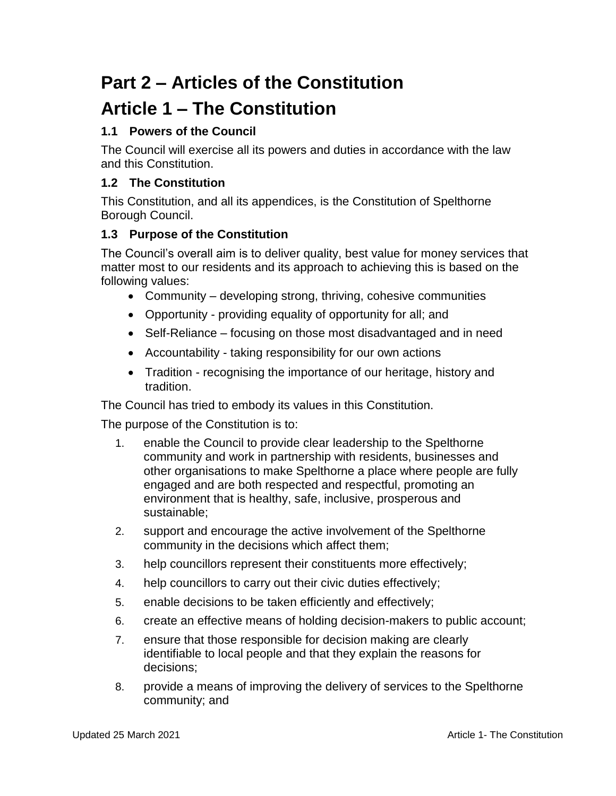# **Part 2 – Articles of the Constitution**

## **Article 1 – The Constitution**

### **1.1 Powers of the Council**

The Council will exercise all its powers and duties in accordance with the law and this Constitution.

#### **1.2 The Constitution**

This Constitution, and all its appendices, is the Constitution of Spelthorne Borough Council.

#### **1.3 Purpose of the Constitution**

The Council's overall aim is to deliver quality, best value for money services that matter most to our residents and its approach to achieving this is based on the following values:

- Community developing strong, thriving, cohesive communities
- Opportunity providing equality of opportunity for all; and
- Self-Reliance focusing on those most disadvantaged and in need
- Accountability taking responsibility for our own actions
- Tradition recognising the importance of our heritage, history and tradition.

The Council has tried to embody its values in this Constitution.

The purpose of the Constitution is to:

- 1. enable the Council to provide clear leadership to the Spelthorne community and work in partnership with residents, businesses and other organisations to make Spelthorne a place where people are fully engaged and are both respected and respectful, promoting an environment that is healthy, safe, inclusive, prosperous and sustainable;
- 2. support and encourage the active involvement of the Spelthorne community in the decisions which affect them;
- 3. help councillors represent their constituents more effectively;
- 4. help councillors to carry out their civic duties effectively;
- 5. enable decisions to be taken efficiently and effectively;
- 6. create an effective means of holding decision-makers to public account;
- 7. ensure that those responsible for decision making are clearly identifiable to local people and that they explain the reasons for decisions;
- 8. provide a means of improving the delivery of services to the Spelthorne community; and